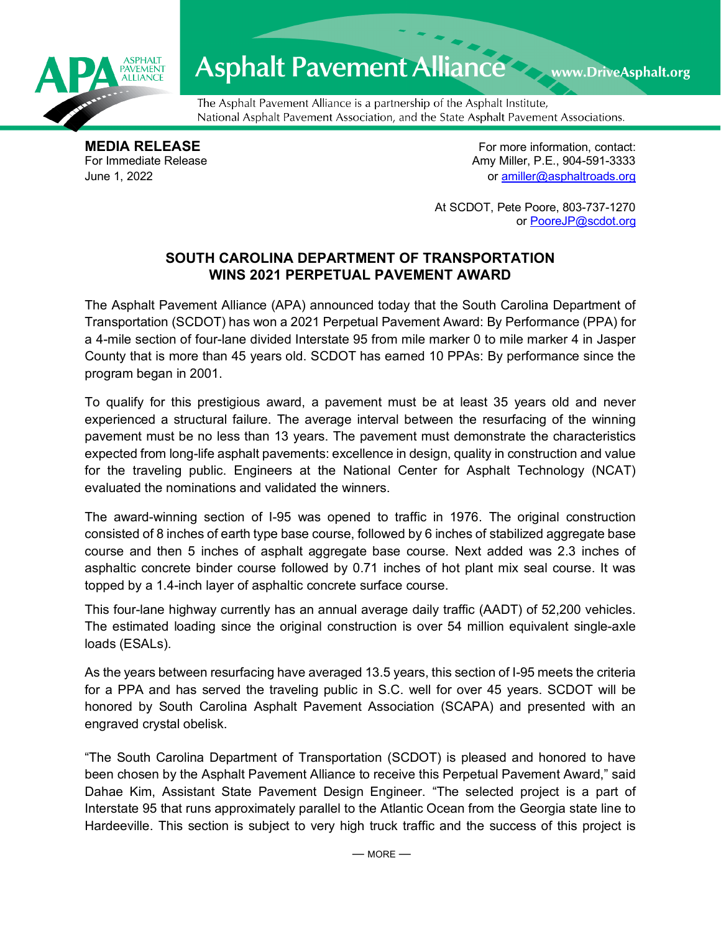

## Asphalt Pavement Alliance Mark DriveAsphalt.org

The Asphalt Pavement Alliance is a partnership of the Asphalt Institute, National Asphalt Pavement Association, and the State Asphalt Pavement Associations.

**MEDIA RELEASE**<br>
For Immediate Release **For more information, contact:**<br>
For Immediate Release **For the Structure of Amy Miller, P.E., 904-591-3333** Amy Miller, P.E., 904-591-3333 June 1, 2022 or [amiller@asphaltroads.org](mailto:amiller@asphaltroads.org)

> At SCDOT, Pete Poore, 803-737-1270 or [PooreJP@scdot.org](mailto:PooreJP@scdot.org)

## **SOUTH CAROLINA DEPARTMENT OF TRANSPORTATION WINS 2021 PERPETUAL PAVEMENT AWARD**

The Asphalt Pavement Alliance (APA) announced today that the South Carolina Department of Transportation (SCDOT) has won a 2021 Perpetual Pavement Award: By Performance (PPA) for a 4-mile section of four-lane divided Interstate 95 from mile marker 0 to mile marker 4 in Jasper County that is more than 45 years old. SCDOT has earned 10 PPAs: By performance since the program began in 2001.

To qualify for this prestigious award, a pavement must be at least 35 years old and never experienced a structural failure. The average interval between the resurfacing of the winning pavement must be no less than 13 years. The pavement must demonstrate the characteristics expected from long-life asphalt pavements: excellence in design, quality in construction and value for the traveling public. Engineers at the National Center for Asphalt Technology (NCAT) evaluated the nominations and validated the winners.

The award-winning section of I-95 was opened to traffic in 1976. The original construction consisted of 8 inches of earth type base course, followed by 6 inches of stabilized aggregate base course and then 5 inches of asphalt aggregate base course. Next added was 2.3 inches of asphaltic concrete binder course followed by 0.71 inches of hot plant mix seal course. It was topped by a 1.4-inch layer of asphaltic concrete surface course.

This four-lane highway currently has an annual average daily traffic (AADT) of 52,200 vehicles. The estimated loading since the original construction is over 54 million equivalent single-axle loads (ESALs).

As the years between resurfacing have averaged 13.5 years, this section of I-95 meets the criteria for a PPA and has served the traveling public in S.C. well for over 45 years. SCDOT will be honored by South Carolina Asphalt Pavement Association (SCAPA) and presented with an engraved crystal obelisk.

"The South Carolina Department of Transportation (SCDOT) is pleased and honored to have been chosen by the Asphalt Pavement Alliance to receive this Perpetual Pavement Award," said Dahae Kim, Assistant State Pavement Design Engineer. "The selected project is a part of Interstate 95 that runs approximately parallel to the Atlantic Ocean from the Georgia state line to Hardeeville. This section is subject to very high truck traffic and the success of this project is